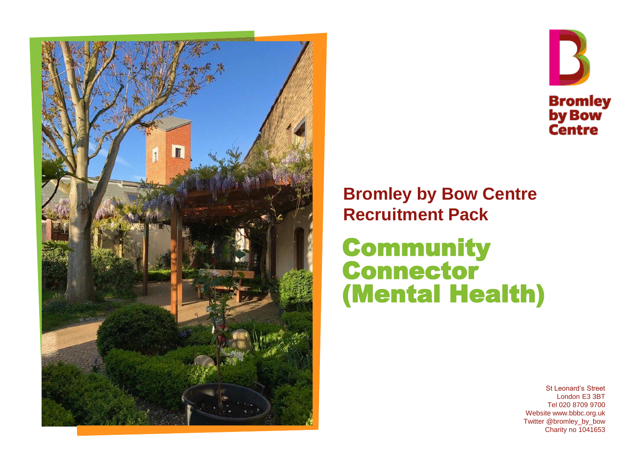



### **Bromley by Bow Centre Recruitment Pack**

### **Community** Connector (Mental Health)

St Leonard's Street London E3 3BT Tel 020 8709 9700 Website www.bbbc.org.uk Twitter @bromley\_by\_bow Charity no 1041653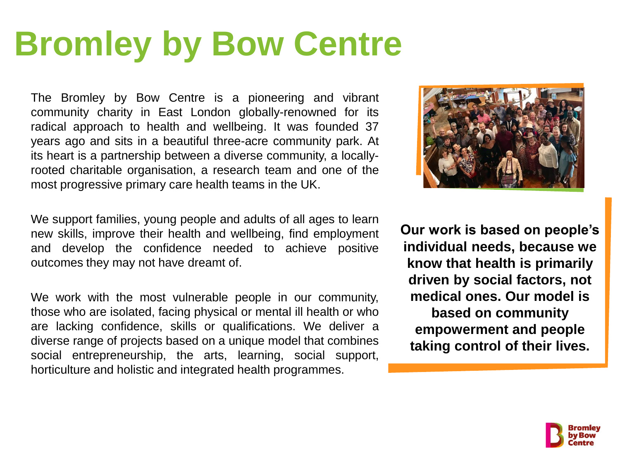# **Bromley by Bow Centre**

The Bromley by Bow Centre is a pioneering and vibrant community charity in East London globally-renowned for its radical approach to health and wellbeing. It was founded 37 years ago and sits in a beautiful three-acre community park. At its heart is a partnership between a diverse community, a locallyrooted charitable organisation, a research team and one of the most progressive primary care health teams in the UK.

We support families, young people and adults of all ages to learn new skills, improve their health and wellbeing, find employment and develop the confidence needed to achieve positive outcomes they may not have dreamt of.

We work with the most vulnerable people in our community, those who are isolated, facing physical or mental ill health or who are lacking confidence, skills or qualifications. We deliver a diverse range of projects based on a unique model that combines social entrepreneurship, the arts, learning, social support, horticulture and holistic and integrated health programmes.



**Our work is based on people's individual needs, because we know that health is primarily driven by social factors, not medical ones. Our model is based on community empowerment and people taking control of their lives.** 

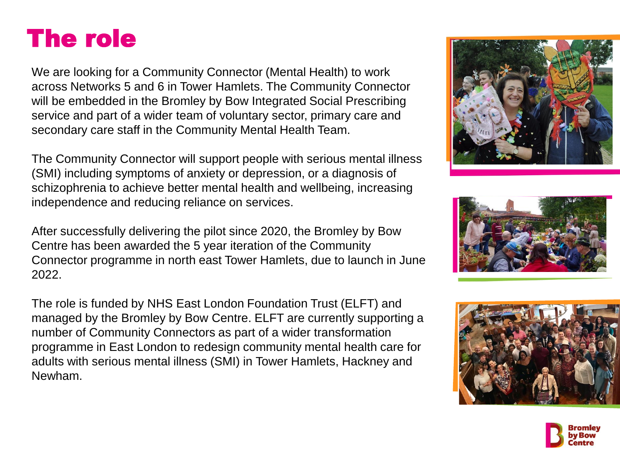### The role

We are looking for a Community Connector (Mental Health) to work across Networks 5 and 6 in Tower Hamlets. The Community Connector will be embedded in the Bromley by Bow Integrated Social Prescribing service and part of a wider team of voluntary sector, primary care and secondary care staff in the Community Mental Health Team.

The Community Connector will support people with serious mental illness (SMI) including symptoms of anxiety or depression, or a diagnosis of schizophrenia to achieve better mental health and wellbeing, increasing independence and reducing reliance on services.

After successfully delivering the pilot since 2020, the Bromley by Bow Centre has been awarded the 5 year iteration of the Community Connector programme in north east Tower Hamlets, due to launch in June 2022.

The role is funded by NHS East London Foundation Trust (ELFT) and managed by the Bromley by Bow Centre. ELFT are currently supporting a number of Community Connectors as part of a wider transformation programme in East London to redesign community mental health care for adults with serious mental illness (SMI) in Tower Hamlets, Hackney and Newham.







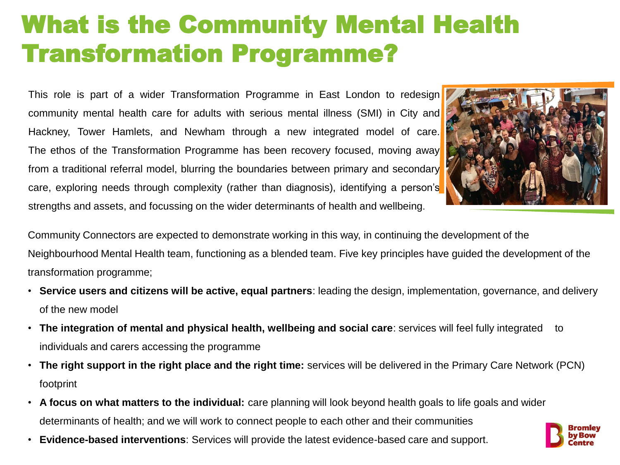### What is the Community Mental Health Transformation Programme?

This role is part of a wider Transformation Programme in East London to redesign community mental health care for adults with serious mental illness (SMI) in City and Hackney, Tower Hamlets, and Newham through a new integrated model of care. The ethos of the Transformation Programme has been recovery focused, moving away from a traditional referral model, blurring the boundaries between primary and secondary care, exploring needs through complexity (rather than diagnosis), identifying a person's strengths and assets, and focussing on the wider determinants of health and wellbeing.



Community Connectors are expected to demonstrate working in this way, in continuing the development of the Neighbourhood Mental Health team, functioning as a blended team. Five key principles have guided the development of the transformation programme;

- **Service users and citizens will be active, equal partners**: leading the design, implementation, governance, and delivery of the new model
- **The integration of mental and physical health, wellbeing and social care**: services will feel fully integrated to individuals and carers accessing the programme
- **The right support in the right place and the right time:** services will be delivered in the Primary Care Network (PCN) footprint
- **A focus on what matters to the individual:** care planning will look beyond health goals to life goals and wider determinants of health; and we will work to connect people to each other and their communities
- **Evidence-based interventions**: Services will provide the latest evidence-based care and support.

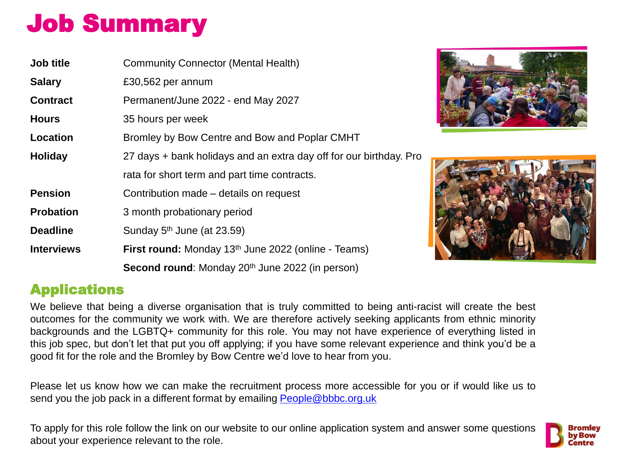## Job Summary

| Job title         | <b>Community Connector (Mental Health)</b>                             |
|-------------------|------------------------------------------------------------------------|
| <b>Salary</b>     | £30,562 per annum                                                      |
| <b>Contract</b>   | Permanent/June 2022 - end May 2027                                     |
| <b>Hours</b>      | 35 hours per week                                                      |
| <b>Location</b>   | Bromley by Bow Centre and Bow and Poplar CMHT                          |
| <b>Holiday</b>    | 27 days + bank holidays and an extra day off for our birthday. Pro     |
|                   | rata for short term and part time contracts.                           |
| <b>Pension</b>    | Contribution made – details on request                                 |
| <b>Probation</b>  | 3 month probationary period                                            |
| <b>Deadline</b>   | Sunday $5th$ June (at 23.59)                                           |
| <b>Interviews</b> | <b>First round:</b> Monday 13 <sup>th</sup> June 2022 (online - Teams) |
|                   | Second round: Monday 20 <sup>th</sup> June 2022 (in person)            |





#### Applications

We believe that being a diverse organisation that is truly committed to being anti-racist will create the best outcomes for the community we work with. We are therefore actively seeking applicants from ethnic minority backgrounds and the LGBTQ+ community for this role. You may not have experience of everything listed in this job spec, but don't let that put you off applying; if you have some relevant experience and think you'd be a good fit for the role and the Bromley by Bow Centre we'd love to hear from you.

Please let us know how we can make the recruitment process more accessible for you or if would like us to send you the job pack in a different format by emailing [People@bbbc.org.uk](mailto:People@bbbc.org.uk)

To apply for this role follow the link on our website to our online application system and answer some questions about your experience relevant to the role.

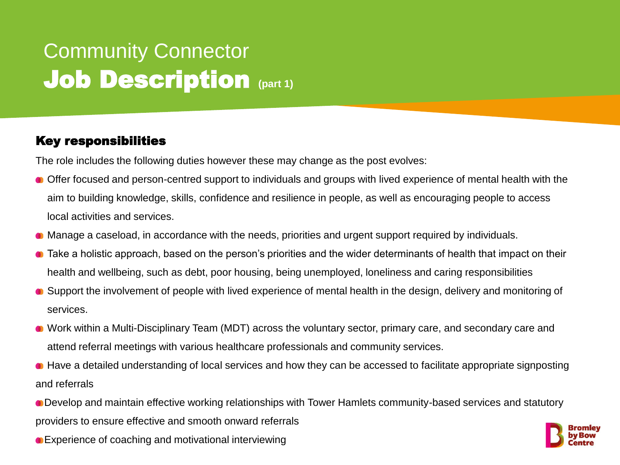### Community Connector **Job Description (part 1)**

#### Key responsibilities

The role includes the following duties however these may change as the post evolves:

- Offer focused and person-centred support to individuals and groups with lived experience of mental health with the aim to building knowledge, skills, confidence and resilience in people, as well as encouraging people to access local activities and services.
- Manage a caseload, in accordance with the needs, priorities and urgent support required by individuals.
- Take a holistic approach, based on the person's priorities and the wider determinants of health that impact on their health and wellbeing, such as debt, poor housing, being unemployed, loneliness and caring responsibilities
- Support the involvement of people with lived experience of mental health in the design, delivery and monitoring of services.
- Work within a Multi-Disciplinary Team (MDT) across the voluntary sector, primary care, and secondary care and attend referral meetings with various healthcare professionals and community services.
- Have a detailed understanding of local services and how they can be accessed to facilitate appropriate signposting and referrals
- Develop and maintain effective working relationships with Tower Hamlets community-based services and statutory providers to ensure effective and smooth onward referrals
- Experience of coaching and motivational interviewing

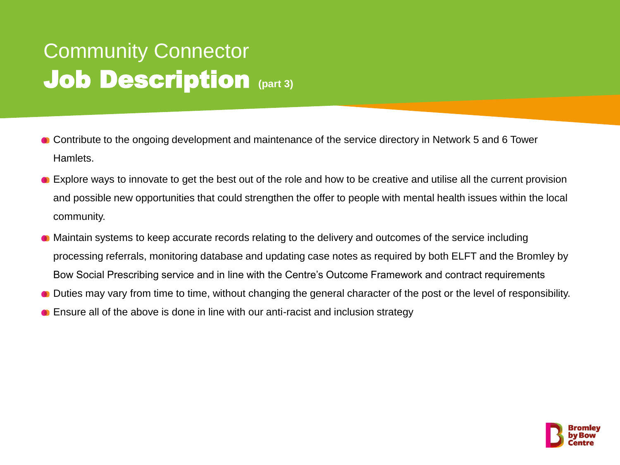### Community Connector **Job Description (part 3)**

- Contribute to the ongoing development and maintenance of the service directory in Network 5 and 6 Tower Hamlets.
- Explore ways to innovate to get the best out of the role and how to be creative and utilise all the current provision and possible new opportunities that could strengthen the offer to people with mental health issues within the local community.
- Maintain systems to keep accurate records relating to the delivery and outcomes of the service including processing referrals, monitoring database and updating case notes as required by both ELFT and the Bromley by Bow Social Prescribing service and in line with the Centre's Outcome Framework and contract requirements
- Duties may vary from time to time, without changing the general character of the post or the level of responsibility.
- **Ensure all of the above is done in line with our anti-racist and inclusion strategy**

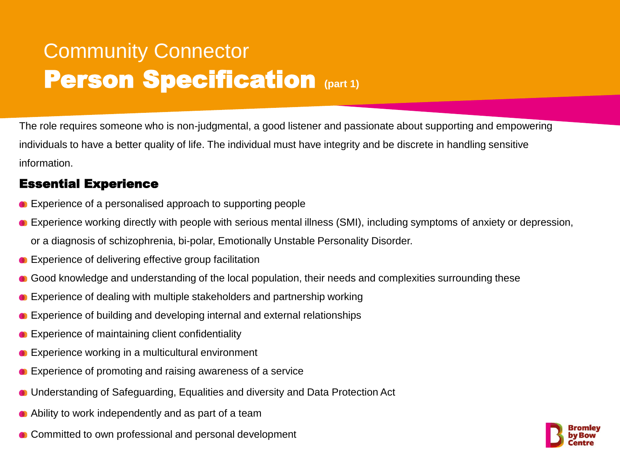### Community Connector **Person Specification (part 1)**

The role requires someone who is non-judgmental, a good listener and passionate about supporting and empowering individuals to have a better quality of life. The individual must have integrity and be discrete in handling sensitive information.

#### Essential Experience

- **Experience of a personalised approach to supporting people**
- Experience working directly with people with serious mental illness (SMI), including symptoms of anxiety or depression, or a diagnosis of schizophrenia, bi-polar, Emotionally Unstable Personality Disorder.
- Experience of delivering effective group facilitation
- Good knowledge and understanding of the local population, their needs and complexities surrounding these
- Experience of dealing with multiple stakeholders and partnership working
- Experience of building and developing internal and external relationships
- Experience of maintaining client confidentiality
- **Experience working in a multicultural environment**
- **Experience of promoting and raising awareness of a service**
- Understanding of Safeguarding, Equalities and diversity and Data Protection Act
- Ability to work independently and as part of a team
- Committed to own professional and personal development